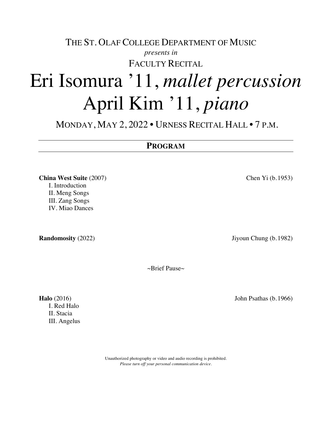# THE ST. OLAF COLLEGE DEPARTMENT OF MUSIC *presents in* FACULTY RECITAL

# Eri Isomura '11, *mallet percussion* April Kim '11, *piano*

MONDAY, MAY 2, 2022 • URNESS RECITAL HALL • 7 P.M.

### **PROGRAM**

**China West Suite** (2007) Chen Yi (b.1953) I. Introduction II. Meng Songs III. Zang Songs IV. Miao Dances

**Randomosity** (2022) **Jiyoun Chung (b.1982)** 

~Brief Pause~

I. Red Halo II. Stacia III. Angelus

> Unauthorized photography or video and audio recording is prohibited. *Please turn off your personal communication device.*

**Halo** (2016) John Psathas (b.1966)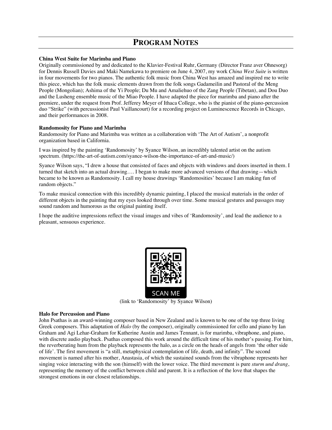## **PROGRAM NOTES**

#### **China West Suite for Marimba and Piano**

Originally commissioned by and dedicated to the Klavier-Festival Ruhr, Germany (Director Franz aver Ohnesorg) for Dennis Russell Davies and Maki Namekawa to premiere on June 4, 2007, my work *China West Suite* is written in four movements for two pianos. The authentic folk music from China West has amazed and inspired me to write this piece, which has the folk music elements drawn from the folk songs Gadameilin and Pastoral of the Meng People (Mongolian); Ashima of the Yi People; Du Mu and Amaliehuo of the Zang People (Tibetan), and Dou Duo and the Lusheng ensemble music of the Miao People. I have adapted the piece for marimba and piano after the premiere, under the request from Prof. Jefferey Meyer of Ithaca College, who is the pianist of the piano-percussion duo "Strike" (with percussionist Paul Vaillancourt) for a recording project on Luminescence Records in Chicago, and their performances in 2008.

#### **Randomosity for Piano and Marimba**

Randomosity for Piano and Marimba was written as a collaboration with 'The Art of Autism', a nonprofit organization based in California.

I was inspired by the painting 'Randomosity' by Syance Wilson, an incredibly talented artist on the autism spectrum. (https://the-art-of-autism.com/syance-wilson-the-importance-of-art-and-music/)

Syance Wilson says, "I drew a house that consisted of faces and objects with windows and doors inserted in them. I turned that sketch into an actual drawing…. I began to make more advanced versions of that drawing—which became to be known as Randomosity. I call my house drawings 'Randomosities' because I am making fun of random objects."

To make musical connection with this incredibly dynamic painting, I placed the musical materials in the order of different objects in the painting that my eyes looked through over time. Some musical gestures and passages may sound random and humorous as the original painting itself.

I hope the auditive impressions reflect the visual images and vibes of 'Randomosity', and lead the audience to a pleasant, sensuous experience.



SCAN

(link to 'Randomosity' by Syance Wilson)

#### **Halo for Percussion and Piano**

John Psathas is an award-winning composer based in New Zealand and is known to be one of the top three living Greek composers. This adaptation of *Halo* (by the composer), originally commissioned for cello and piano by Ian Graham and Agi Lehar-Graham for Katherine Austin and James Tennant, is for marimba, vibraphone, and piano, with discrete audio playback. Psathas composed this work around the difficult time of his mother's passing. For him, the reverberating hum from the playback represents the halo, as a circle on the heads of angels from 'the other side of life'. The first movement is "a still, metaphysical contemplation of life, death, and infinity". The second movement is named after his mother, Anastasia, of which the sustained sounds from the vibraphone represents her singing voice interacting with the son (himself) with the lower voice. The third movement is pure *sturm und drang*, representing the memory of the conflict between child and parent. It is a reflection of the love that shapes the strongest emotions in our closest relationships.